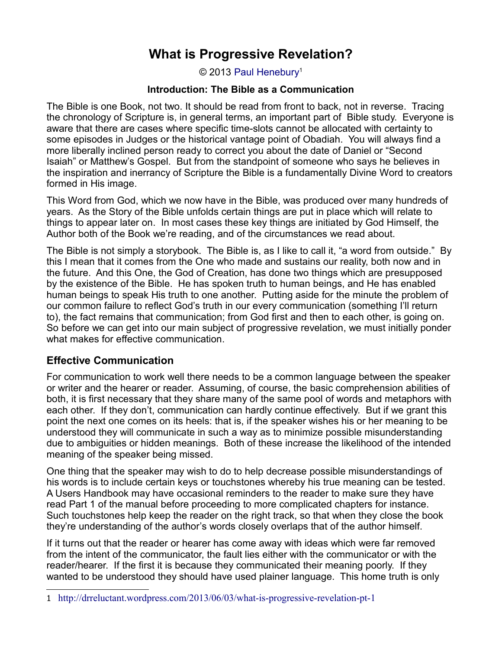© 2013 [Paul Henebury](http://www.spiritandtruth.org/id/ph.htm)<sup>[1](#page-0-0)</sup>

### **Introduction: The Bible as a Communication**

The Bible is one Book, not two. It should be read from front to back, not in reverse. Tracing the chronology of Scripture is, in general terms, an important part of Bible study. Everyone is aware that there are cases where specific time-slots cannot be allocated with certainty to some episodes in Judges or the historical vantage point of Obadiah. You will always find a more liberally inclined person ready to correct you about the date of Daniel or "Second Isaiah" or Matthew's Gospel. But from the standpoint of someone who says he believes in the inspiration and inerrancy of Scripture the Bible is a fundamentally Divine Word to creators formed in His image.

This Word from God, which we now have in the Bible, was produced over many hundreds of years. As the Story of the Bible unfolds certain things are put in place which will relate to things to appear later on. In most cases these key things are initiated by God Himself, the Author both of the Book we're reading, and of the circumstances we read about.

The Bible is not simply a storybook. The Bible is, as I like to call it, "a word from outside." By this I mean that it comes from the One who made and sustains our reality, both now and in the future. And this One, the God of Creation, has done two things which are presupposed by the existence of the Bible. He has spoken truth to human beings, and He has enabled human beings to speak His truth to one another. Putting aside for the minute the problem of our common failure to reflect God's truth in our every communication (something I'll return to), the fact remains that communication; from God first and then to each other, is going on. So before we can get into our main subject of progressive revelation, we must initially ponder what makes for effective communication.

# **Effective Communication**

For communication to work well there needs to be a common language between the speaker or writer and the hearer or reader. Assuming, of course, the basic comprehension abilities of both, it is first necessary that they share many of the same pool of words and metaphors with each other. If they don't, communication can hardly continue effectively. But if we grant this point the next one comes on its heels: that is, if the speaker wishes his or her meaning to be understood they will communicate in such a way as to minimize possible misunderstanding due to ambiguities or hidden meanings. Both of these increase the likelihood of the intended meaning of the speaker being missed.

One thing that the speaker may wish to do to help decrease possible misunderstandings of his words is to include certain keys or touchstones whereby his true meaning can be tested. A Users Handbook may have occasional reminders to the reader to make sure they have read Part 1 of the manual before proceeding to more complicated chapters for instance. Such touchstones help keep the reader on the right track, so that when they close the book they're understanding of the author's words closely overlaps that of the author himself.

If it turns out that the reader or hearer has come away with ideas which were far removed from the intent of the communicator, the fault lies either with the communicator or with the reader/hearer. If the first it is because they communicated their meaning poorly. If they wanted to be understood they should have used plainer language. This home truth is only

<span id="page-0-0"></span><sup>1</sup> <http://drreluctant.wordpress.com/2013/06/03/what-is-progressive-revelation-pt-1>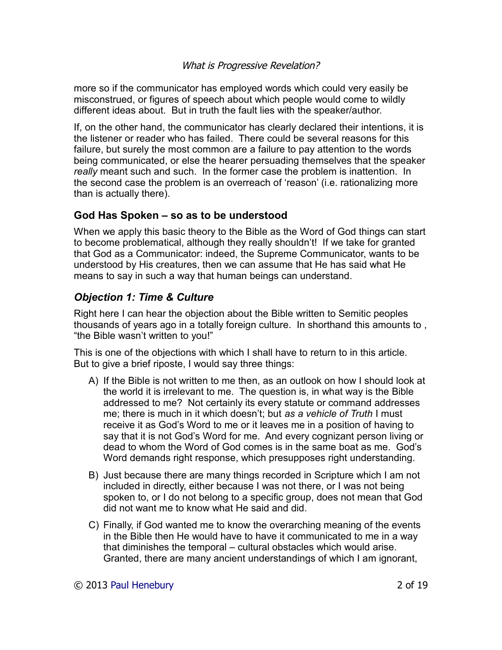more so if the communicator has employed words which could very easily be misconstrued, or figures of speech about which people would come to wildly different ideas about. But in truth the fault lies with the speaker/author.

If, on the other hand, the communicator has clearly declared their intentions, it is the listener or reader who has failed. There could be several reasons for this failure, but surely the most common are a failure to pay attention to the words being communicated, or else the hearer persuading themselves that the speaker *really* meant such and such. In the former case the problem is inattention. In the second case the problem is an overreach of 'reason' (i.e. rationalizing more than is actually there).

# **God Has Spoken – so as to be understood**

When we apply this basic theory to the Bible as the Word of God things can start to become problematical, although they really shouldn't! If we take for granted that God as a Communicator: indeed, the Supreme Communicator, wants to be understood by His creatures, then we can assume that He has said what He means to say in such a way that human beings can understand.

# *Objection 1: Time & Culture*

Right here I can hear the objection about the Bible written to Semitic peoples thousands of years ago in a totally foreign culture. In shorthand this amounts to , "the Bible wasn't written to you!"

This is one of the objections with which I shall have to return to in this article. But to give a brief riposte, I would say three things:

- A) If the Bible is not written to me then, as an outlook on how I should look at the world it is irrelevant to me. The question is, in what way is the Bible addressed to me? Not certainly its every statute or command addresses me; there is much in it which doesn't; but *as a vehicle of Truth* I must receive it as God's Word to me or it leaves me in a position of having to say that it is not God's Word for me. And every cognizant person living or dead to whom the Word of God comes is in the same boat as me. God's Word demands right response, which presupposes right understanding.
- B) Just because there are many things recorded in Scripture which I am not included in directly, either because I was not there, or I was not being spoken to, or I do not belong to a specific group, does not mean that God did not want me to know what He said and did.
- C) Finally, if God wanted me to know the overarching meaning of the events in the Bible then He would have to have it communicated to me in a way that diminishes the temporal – cultural obstacles which would arise. Granted, there are many ancient understandings of which I am ignorant,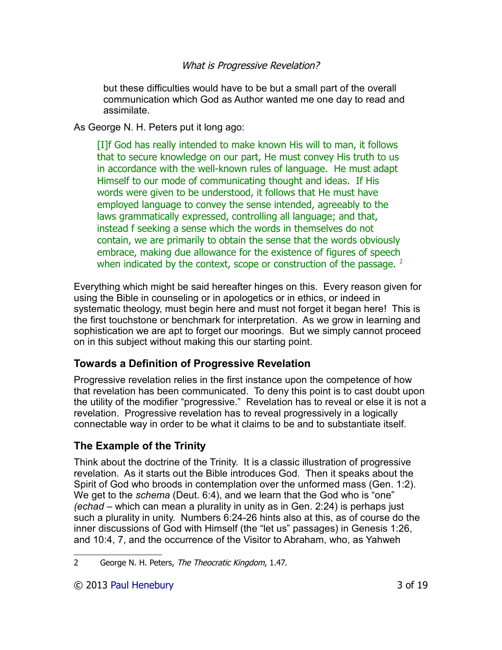but these difficulties would have to be but a small part of the overall communication which God as Author wanted me one day to read and assimilate.

As George N. H. Peters put it long ago:

[I]f God has really intended to make known His will to man, it follows that to secure knowledge on our part, He must convey His truth to us in accordance with the well-known rules of language. He must adapt Himself to our mode of communicating thought and ideas. If His words were given to be understood, it follows that He must have employed language to convey the sense intended, agreeably to the laws grammatically expressed, controlling all language; and that, instead f seeking a sense which the words in themselves do not contain, we are primarily to obtain the sense that the words obviously embrace, making due allowance for the existence of figures of speech when indicated by the context, scope or construction of the passage.  $2$ 

Everything which might be said hereafter hinges on this. Every reason given for using the Bible in counseling or in apologetics or in ethics, or indeed in systematic theology, must begin here and must not forget it began here! This is the first touchstone or benchmark for interpretation. As we grow in learning and sophistication we are apt to forget our moorings. But we simply cannot proceed on in this subject without making this our starting point.

# **Towards a Definition of Progressive Revelation**

Progressive revelation relies in the first instance upon the competence of how that revelation has been communicated. To deny this point is to cast doubt upon the utility of the modifier "progressive." Revelation has to reveal or else it is not a revelation. Progressive revelation has to reveal progressively in a logically connectable way in order to be what it claims to be and to substantiate itself.

# **The Example of the Trinity**

Think about the doctrine of the Trinity. It is a classic illustration of progressive revelation. As it starts out the Bible introduces God. Then it speaks about the Spirit of God who broods in contemplation over the unformed mass (Gen. 1:2). We get to the *schema* (Deut. 6:4), and we learn that the God who is "one" *(echad* – which can mean a plurality in unity as in Gen. 2:24) is perhaps just such a plurality in unity. Numbers 6:24-26 hints also at this, as of course do the inner discussions of God with Himself (the "let us" passages) in Genesis 1:26, and 10:4, 7, and the occurrence of the Visitor to Abraham, who, as Yahweh

<span id="page-2-0"></span><sup>2</sup> George N. H. Peters, The Theocratic Kingdom, 1.47.

<sup>© 2013</sup> [Paul Henebury](http://www.spiritandtruth.org/id/ph.htm) 3 of 19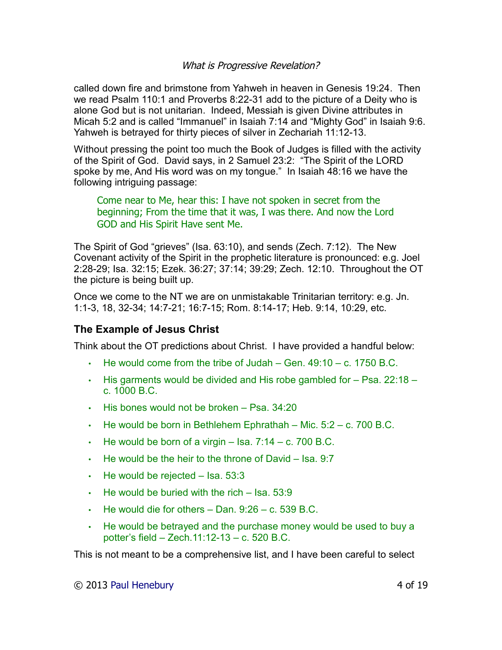called down fire and brimstone from Yahweh in heaven in Genesis 19:24. Then we read Psalm 110:1 and Proverbs 8:22-31 add to the picture of a Deity who is alone God but is not unitarian. Indeed, Messiah is given Divine attributes in Micah 5:2 and is called "Immanuel" in Isaiah 7:14 and "Mighty God" in Isaiah 9:6. Yahweh is betrayed for thirty pieces of silver in Zechariah 11:12-13.

Without pressing the point too much the Book of Judges is filled with the activity of the Spirit of God. David says, in 2 Samuel 23:2: "The Spirit of the LORD spoke by me, And His word was on my tongue." In Isaiah 48:16 we have the following intriguing passage:

Come near to Me, hear this: I have not spoken in secret from the beginning; From the time that it was, I was there. And now the Lord GOD and His Spirit Have sent Me.

The Spirit of God "grieves" (Isa. 63:10), and sends (Zech. 7:12). The New Covenant activity of the Spirit in the prophetic literature is pronounced: e.g. Joel 2:28-29; Isa. 32:15; Ezek. 36:27; 37:14; 39:29; Zech. 12:10. Throughout the OT the picture is being built up.

Once we come to the NT we are on unmistakable Trinitarian territory: e.g. Jn. 1:1-3, 18, 32-34; 14:7-21; 16:7-15; Rom. 8:14-17; Heb. 9:14, 10:29, etc.

# **The Example of Jesus Christ**

Think about the OT predictions about Christ. I have provided a handful below:

- $\cdot$  He would come from the tribe of Judah Gen.  $49:10 c$ . 1750 B.C.
- His garments would be divided and His robe gambled for Psa. 22:18 c. 1000 B.C.
- His bones would not be broken Psa. 34:20
- $\cdot$  He would be born in Bethlehem Ephrathah Mic. 5:2 c. 700 B.C.
- $\cdot$  He would be born of a virgin Isa. 7:14 c. 700 B.C.
- $\cdot$  He would be the heir to the throne of David Isa. 9:7
- $\cdot$  He would be rejected Isa. 53:3
- $\cdot$  He would be buried with the rich Isa. 53:9
- $\cdot$  He would die for others Dan. 9:26 c. 539 B.C.
- He would be betrayed and the purchase money would be used to buy a potter's field – Zech.11:12-13 – c. 520 B.C.

This is not meant to be a comprehensive list, and I have been careful to select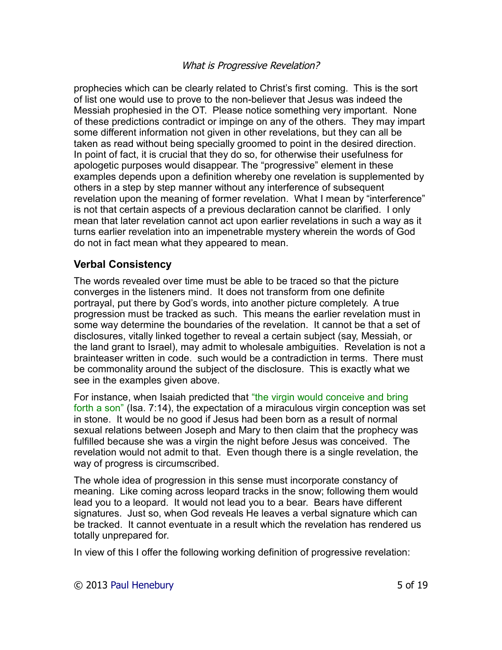prophecies which can be clearly related to Christ's first coming. This is the sort of list one would use to prove to the non-believer that Jesus was indeed the Messiah prophesied in the OT. Please notice something very important. None of these predictions contradict or impinge on any of the others. They may impart some different information not given in other revelations, but they can all be taken as read without being specially groomed to point in the desired direction. In point of fact, it is crucial that they do so, for otherwise their usefulness for apologetic purposes would disappear. The "progressive" element in these examples depends upon a definition whereby one revelation is supplemented by others in a step by step manner without any interference of subsequent revelation upon the meaning of former revelation. What I mean by "interference" is not that certain aspects of a previous declaration cannot be clarified. I only mean that later revelation cannot act upon earlier revelations in such a way as it turns earlier revelation into an impenetrable mystery wherein the words of God do not in fact mean what they appeared to mean.

# **Verbal Consistency**

The words revealed over time must be able to be traced so that the picture converges in the listeners mind. It does not transform from one definite portrayal, put there by God's words, into another picture completely. A true progression must be tracked as such. This means the earlier revelation must in some way determine the boundaries of the revelation. It cannot be that a set of disclosures, vitally linked together to reveal a certain subject (say, Messiah, or the land grant to Israel), may admit to wholesale ambiguities. Revelation is not a brainteaser written in code. such would be a contradiction in terms. There must be commonality around the subject of the disclosure. This is exactly what we see in the examples given above.

For instance, when Isaiah predicted that "the virgin would conceive and bring forth a son" (Isa. 7:14), the expectation of a miraculous virgin conception was set in stone. It would be no good if Jesus had been born as a result of normal sexual relations between Joseph and Mary to then claim that the prophecy was fulfilled because she was a virgin the night before Jesus was conceived. The revelation would not admit to that. Even though there is a single revelation, the way of progress is circumscribed.

The whole idea of progression in this sense must incorporate constancy of meaning. Like coming across leopard tracks in the snow; following them would lead you to a leopard. It would not lead you to a bear. Bears have different signatures. Just so, when God reveals He leaves a verbal signature which can be tracked. It cannot eventuate in a result which the revelation has rendered us totally unprepared for.

In view of this I offer the following working definition of progressive revelation: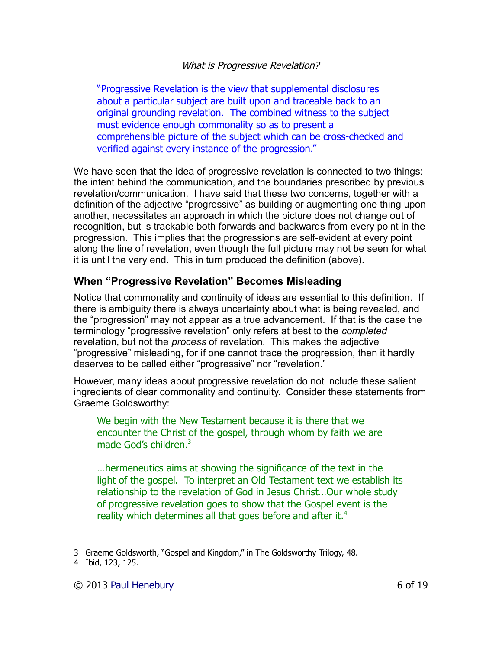"Progressive Revelation is the view that supplemental disclosures about a particular subject are built upon and traceable back to an original grounding revelation. The combined witness to the subject must evidence enough commonality so as to present a comprehensible picture of the subject which can be cross-checked and verified against every instance of the progression."

We have seen that the idea of progressive revelation is connected to two things: the intent behind the communication, and the boundaries prescribed by previous revelation/communication. I have said that these two concerns, together with a definition of the adjective "progressive" as building or augmenting one thing upon another, necessitates an approach in which the picture does not change out of recognition, but is trackable both forwards and backwards from every point in the progression. This implies that the progressions are self-evident at every point along the line of revelation, even though the full picture may not be seen for what it is until the very end. This in turn produced the definition (above).

# **When "Progressive Revelation" Becomes Misleading**

Notice that commonality and continuity of ideas are essential to this definition. If there is ambiguity there is always uncertainty about what is being revealed, and the "progression" may not appear as a true advancement. If that is the case the terminology "progressive revelation" only refers at best to the *completed* revelation, but not the *process* of revelation. This makes the adjective "progressive" misleading, for if one cannot trace the progression, then it hardly deserves to be called either "progressive" nor "revelation."

However, many ideas about progressive revelation do not include these salient ingredients of clear commonality and continuity. Consider these statements from Graeme Goldsworthy:

We begin with the New Testament because it is there that we encounter the Christ of the gospel, through whom by faith we are made God's children.<sup>[3](#page-5-0)</sup>

…hermeneutics aims at showing the significance of the text in the light of the gospel. To interpret an Old Testament text we establish its relationship to the revelation of God in Jesus Christ…Our whole study of progressive revelation goes to show that the Gospel event is the reality which determines all that goes before and after it.<sup>[4](#page-5-1)</sup>

<span id="page-5-0"></span><sup>3</sup> Graeme Goldsworth, "Gospel and Kingdom," in The Goldsworthy Trilogy, 48.

<span id="page-5-1"></span><sup>4</sup> Ibid, 123, 125.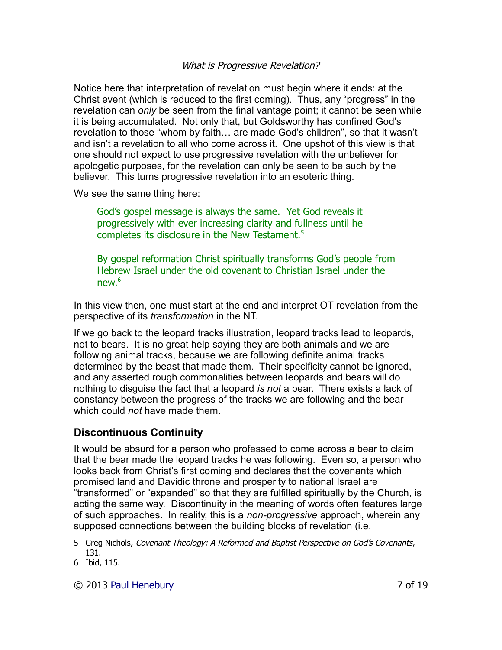Notice here that interpretation of revelation must begin where it ends: at the Christ event (which is reduced to the first coming). Thus, any "progress" in the revelation can *only* be seen from the final vantage point; it cannot be seen while it is being accumulated. Not only that, but Goldsworthy has confined God's revelation to those "whom by faith… are made God's children", so that it wasn't and isn't a revelation to all who come across it. One upshot of this view is that one should not expect to use progressive revelation with the unbeliever for apologetic purposes, for the revelation can only be seen to be such by the believer. This turns progressive revelation into an esoteric thing.

We see the same thing here:

God's gospel message is always the same. Yet God reveals it progressively with ever increasing clarity and fullness until he completes its disclosure in the New Testament.<sup>[5](#page-6-0)</sup>

By gospel reformation Christ spiritually transforms God's people from Hebrew Israel under the old covenant to Christian Israel under the new  $6$ 

In this view then, one must start at the end and interpret OT revelation from the perspective of its *transformation* in the NT.

If we go back to the leopard tracks illustration, leopard tracks lead to leopards, not to bears. It is no great help saying they are both animals and we are following animal tracks, because we are following definite animal tracks determined by the beast that made them. Their specificity cannot be ignored, and any asserted rough commonalities between leopards and bears will do nothing to disguise the fact that a leopard *is not* a bear. There exists a lack of constancy between the progress of the tracks we are following and the bear which could *not* have made them.

# **Discontinuous Continuity**

It would be absurd for a person who professed to come across a bear to claim that the bear made the leopard tracks he was following. Even so, a person who looks back from Christ's first coming and declares that the covenants which promised land and Davidic throne and prosperity to national Israel are "transformed" or "expanded" so that they are fulfilled spiritually by the Church, is acting the same way. Discontinuity in the meaning of words often features large of such approaches. In reality, this is a *non-progressive* approach, wherein any supposed connections between the building blocks of revelation (i.e.

© 2013 [Paul Henebury](http://www.spiritandtruth.org/id/ph.htm) 7 of 19

<span id="page-6-0"></span><sup>5</sup> Greg Nichols, Covenant Theology: A Reformed and Baptist Perspective on God's Covenants, 131.

<span id="page-6-1"></span><sup>6</sup> Ibid, 115.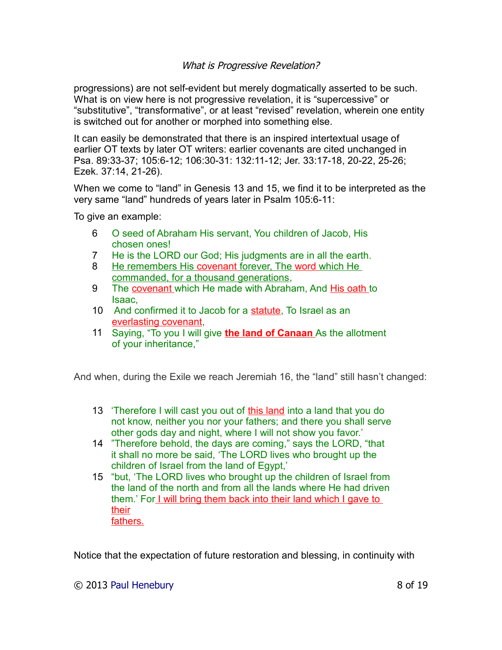progressions) are not self-evident but merely dogmatically asserted to be such. What is on view here is not progressive revelation, it is "supercessive" or "substitutive", "transformative", or at least "revised" revelation, wherein one entity is switched out for another or morphed into something else.

It can easily be demonstrated that there is an inspired intertextual usage of earlier OT texts by later OT writers: earlier covenants are cited unchanged in Psa. 89:33-37; 105:6-12; 106:30-31: 132:11-12; Jer. 33:17-18, 20-22, 25-26; Ezek. 37:14, 21-26).

When we come to "land" in Genesis 13 and 15, we find it to be interpreted as the very same "land" hundreds of years later in Psalm 105:6-11:

To give an example:

- 6 O seed of Abraham His servant, You children of Jacob, His chosen ones!
- 7 He is the LORD our God; His judgments are in all the earth.
- 8 He remembers His covenant forever, The word which He commanded, for a thousand generations,
- 9 The covenant which He made with Abraham, And His oath to Isaac,
- 10 And confirmed it to Jacob for a statute, To Israel as an everlasting covenant,
- 11 Saying, "To you I will give **theland of Canaan** As the allotment of your inheritance,"

And when, during the Exile we reach Jeremiah 16, the "land" still hasn't changed:

- 13 'Therefore I will cast you out of this land into a land that you do not know, neither you nor your fathers; and there you shall serve other gods day and night, where I will not show you favor.'
- 14 "Therefore behold, the days are coming," says the LORD, "that it shall no more be said, 'The LORD lives who brought up the children of Israel from the land of Egypt,'
- 15 "but, 'The LORD lives who brought up the children of Israel from the land of the north and from all the lands where He had driven them.' For I will bring them back into their land which I gave to their fathers.

Notice that the expectation of future restoration and blessing, in continuity with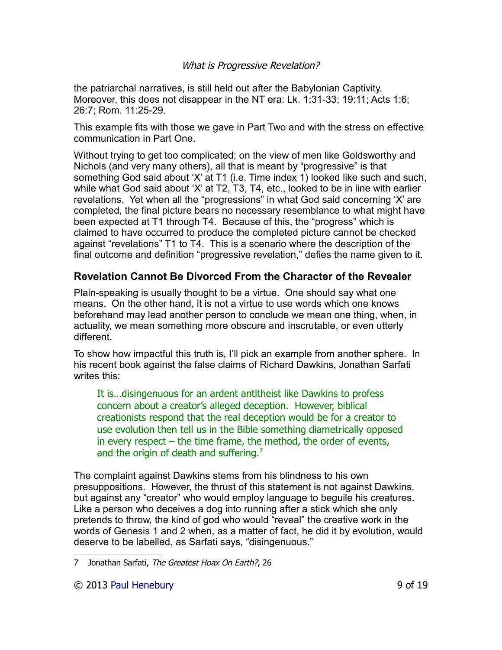the patriarchal narratives, is still held out after the Babylonian Captivity. Moreover, this does not disappear in the NT era: Lk. 1:31-33; 19:11; Acts 1:6; 26:7; Rom. 11:25-29.

This example fits with those we gave in Part Two and with the stress on effective communication in Part One.

Without trying to get too complicated; on the view of men like Goldsworthy and Nichols (and very many others), all that is meant by "progressive" is that something God said about 'X' at T1 (i.e. Time index 1) looked like such and such, while what God said about 'X' at T2, T3, T4, etc., looked to be in line with earlier revelations. Yet when all the "progressions" in what God said concerning 'X' are completed, the final picture bears no necessary resemblance to what might have been expected at T1 through T4. Because of this, the "progress" which is claimed to have occurred to produce the completed picture cannot be checked against "revelations" T1 to T4. This is a scenario where the description of the final outcome and definition "progressive revelation," defies the name given to it.

# **Revelation Cannot Be Divorced From the Character of the Revealer**

Plain-speaking is usually thought to be a virtue. One should say what one means. On the other hand, it is not a virtue to use words which one knows beforehand may lead another person to conclude we mean one thing, when, in actuality, we mean something more obscure and inscrutable, or even utterly different.

To show how impactful this truth is, I'll pick an example from another sphere. In his recent book against the false claims of Richard Dawkins, Jonathan Sarfati writes this:

It is…disingenuous for an ardent antitheist like Dawkins to profess concern about a creator's alleged deception. However, biblical creationists respond that the real deception would be for a creator to use evolution then tell us in the Bible something diametrically opposed in every respect – the time frame, the method, the order of events, and the origin of death and suffering.<sup>[7](#page-8-0)</sup>

The complaint against Dawkins stems from his blindness to his own presuppositions. However, the thrust of this statement is not against Dawkins, but against any "creator" who would employ language to beguile his creatures. Like a person who deceives a dog into running after a stick which she only pretends to throw, the kind of god who would "reveal" the creative work in the words of Genesis 1 and 2 when, as a matter of fact, he did it by evolution, would deserve to be labelled, as Sarfati says, "disingenuous."

<span id="page-8-0"></span><sup>7</sup> Jonathan Sarfati, The Greatest Hoax On Earth?, 26

<sup>© 2013</sup> [Paul Henebury](http://www.spiritandtruth.org/id/ph.htm) 9 of 19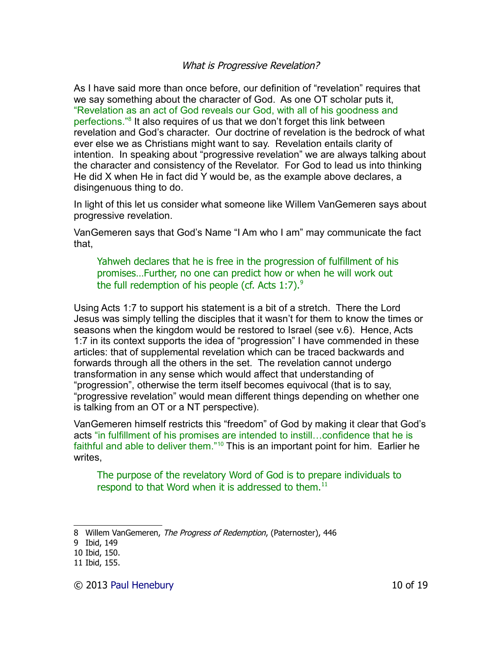As I have said more than once before, our definition of "revelation" requires that we say something about the character of God. As one OT scholar puts it, "Revelation as an act of God reveals our God, with all of his goodness and perfections."<sup>[8](#page-9-0)</sup> It also requires of us that we don't forget this link between revelation and God's character. Our doctrine of revelation is the bedrock of what ever else we as Christians might want to say. Revelation entails clarity of intention. In speaking about "progressive revelation" we are always talking about the character and consistency of the Revelator. For God to lead us into thinking He did X when He in fact did Y would be, as the example above declares, a disingenuous thing to do.

In light of this let us consider what someone like Willem VanGemeren says about progressive revelation.

VanGemeren says that God's Name "I Am who I am" may communicate the fact that,

Yahweh declares that he is free in the progression of fulfillment of his promises…Further, no one can predict how or when he will work out the full redemption of his people (cf. Acts  $1:7$ ).<sup>[9](#page-9-1)</sup>

Using Acts 1:7 to support his statement is a bit of a stretch. There the Lord Jesus was simply telling the disciples that it wasn't for them to know the times or seasons when the kingdom would be restored to Israel (see v.6). Hence, Acts 1:7 in its context supports the idea of "progression" I have commended in these articles: that of supplemental revelation which can be traced backwards and forwards through all the others in the set. The revelation cannot undergo transformation in any sense which would affect that understanding of "progression", otherwise the term itself becomes equivocal (that is to say, "progressive revelation" would mean different things depending on whether one is talking from an OT or a NT perspective).

VanGemeren himself restricts this "freedom" of God by making it clear that God's acts "in fulfillment of his promises are intended to instill…confidence that he is faithful and able to deliver them."[10](#page-9-2) This is an important point for him. Earlier he writes,

The purpose of the revelatory Word of God is to prepare individuals to respond to that Word when it is addressed to them.<sup>[11](#page-9-3)</sup>

<span id="page-9-0"></span><sup>8</sup> Willem VanGemeren, The Progress of Redemption, (Paternoster), 446

<span id="page-9-1"></span><sup>9</sup> Ibid, 149

<span id="page-9-2"></span><sup>10</sup> Ibid, 150.

<span id="page-9-3"></span><sup>11</sup> Ibid, 155.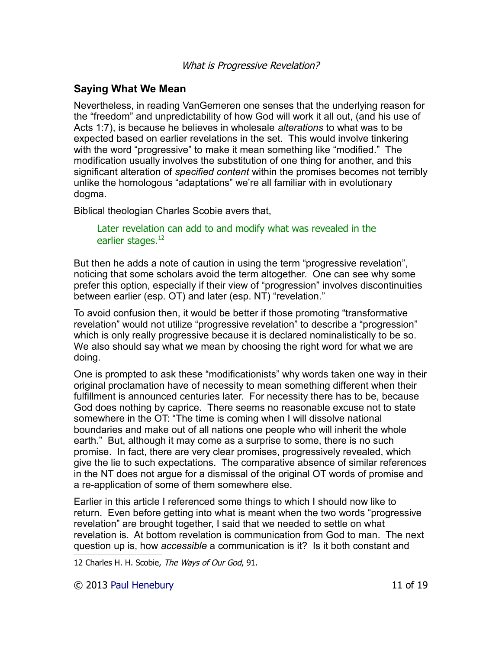# **Saying What We Mean**

Nevertheless, in reading VanGemeren one senses that the underlying reason for the "freedom" and unpredictability of how God will work it all out, (and his use of Acts 1:7), is because he believes in wholesale *alterations* to what was to be expected based on earlier revelations in the set. This would involve tinkering with the word "progressive" to make it mean something like "modified." The modification usually involves the substitution of one thing for another, and this significant alteration of *specified content* within the promises becomes not terribly unlike the homologous "adaptations" we're all familiar with in evolutionary dogma.

Biblical theologian Charles Scobie avers that,

### Later revelation can add to and modify what was revealed in the earlier stages.<sup>[12](#page-10-0)</sup>

But then he adds a note of caution in using the term "progressive revelation", noticing that some scholars avoid the term altogether. One can see why some prefer this option, especially if their view of "progression" involves discontinuities between earlier (esp. OT) and later (esp. NT) "revelation."

To avoid confusion then, it would be better if those promoting "transformative revelation" would not utilize "progressive revelation" to describe a "progression" which is only really progressive because it is declared nominalistically to be so. We also should say what we mean by choosing the right word for what we are doing.

One is prompted to ask these "modificationists" why words taken one way in their original proclamation have of necessity to mean something different when their fulfillment is announced centuries later. For necessity there has to be, because God does nothing by caprice. There seems no reasonable excuse not to state somewhere in the OT: "The time is coming when I will dissolve national boundaries and make out of all nations one people who will inherit the whole earth." But, although it may come as a surprise to some, there is no such promise. In fact, there are very clear promises, progressively revealed, which give the lie to such expectations. The comparative absence of similar references in the NT does not argue for a dismissal of the original OT words of promise and a re-application of some of them somewhere else.

Earlier in this article I referenced some things to which I should now like to return. Even before getting into what is meant when the two words "progressive revelation" are brought together, I said that we needed to settle on what revelation is. At bottom revelation is communication from God to man. The next question up is, how *accessible* a communication is it? Is it both constant and

<span id="page-10-0"></span>12 Charles H. H. Scobie, The Ways of Our God, 91.

© 2013 [Paul Henebury](http://www.spiritandtruth.org/id/ph.htm) 11 of 19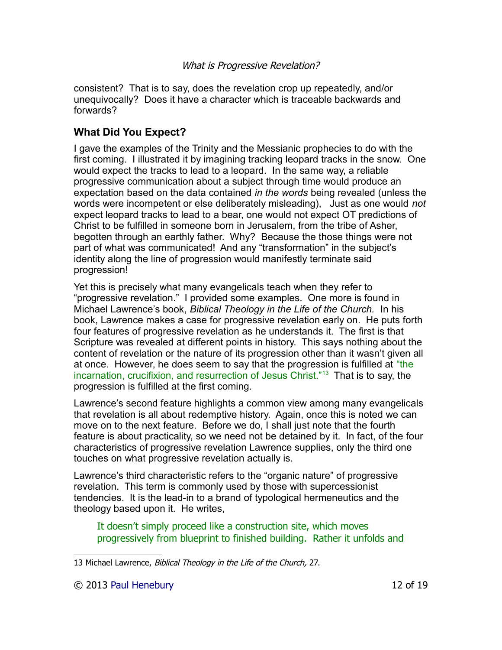consistent? That is to say, does the revelation crop up repeatedly, and/or unequivocally? Does it have a character which is traceable backwards and forwards?

# **What Did You Expect?**

I gave the examples of the Trinity and the Messianic prophecies to do with the first coming. I illustrated it by imagining tracking leopard tracks in the snow. One would expect the tracks to lead to a leopard. In the same way, a reliable progressive communication about a subject through time would produce an expectation based on the data contained *in the words* being revealed (unless the words were incompetent or else deliberately misleading), Just as one would *not* expect leopard tracks to lead to a bear, one would not expect OT predictions of Christ to be fulfilled in someone born in Jerusalem, from the tribe of Asher, begotten through an earthly father. Why? Because the those things were not part of what was communicated! And any "transformation" in the subject's identity along the line of progression would manifestly terminate said progression!

Yet this is precisely what many evangelicals teach when they refer to "progressive revelation." I provided some examples. One more is found in Michael Lawrence's book, *Biblical Theology in the Life of the Church.* In his book, Lawrence makes a case for progressive revelation early on. He puts forth four features of progressive revelation as he understands it. The first is that Scripture was revealed at different points in history. This says nothing about the content of revelation or the nature of its progression other than it wasn't given all at once. However, he does seem to say that the progression is fulfilled at "the incarnation, crucifixion, and resurrection of Jesus Christ."[13](#page-11-0) That is to say, the progression is fulfilled at the first coming.

Lawrence's second feature highlights a common view among many evangelicals that revelation is all about redemptive history. Again, once this is noted we can move on to the next feature. Before we do, I shall just note that the fourth feature is about practicality, so we need not be detained by it. In fact, of the four characteristics of progressive revelation Lawrence supplies, only the third one touches on what progressive revelation actually is.

Lawrence's third characteristic refers to the "organic nature" of progressive revelation. This term is commonly used by those with supercessionist tendencies. It is the lead-in to a brand of typological hermeneutics and the theology based upon it. He writes,

It doesn't simply proceed like a construction site, which moves progressively from blueprint to finished building. Rather it unfolds and

<span id="page-11-0"></span><sup>13</sup> Michael Lawrence, Biblical Theology in the Life of the Church, 27.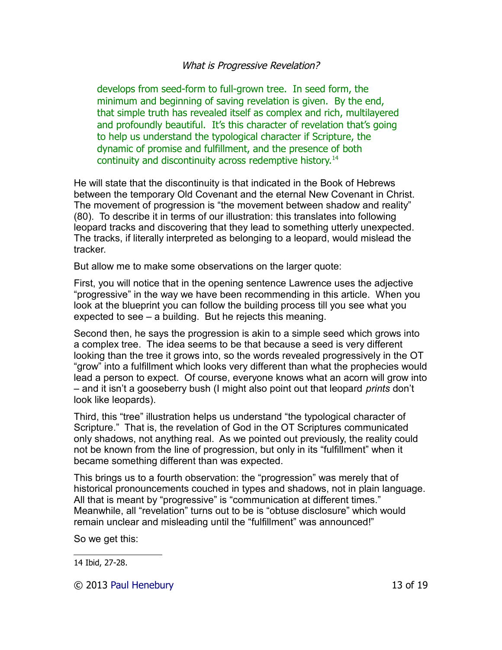develops from seed-form to full-grown tree. In seed form, the minimum and beginning of saving revelation is given. By the end, that simple truth has revealed itself as complex and rich, multilayered and profoundly beautiful. It's this character of revelation that's going to help us understand the typological character if Scripture, the dynamic of promise and fulfillment, and the presence of both continuity and discontinuity across redemptive history.<sup>[14](#page-12-0)</sup>

He will state that the discontinuity is that indicated in the Book of Hebrews between the temporary Old Covenant and the eternal New Covenant in Christ. The movement of progression is "the movement between shadow and reality" (80). To describe it in terms of our illustration: this translates into following leopard tracks and discovering that they lead to something utterly unexpected. The tracks, if literally interpreted as belonging to a leopard, would mislead the tracker.

But allow me to make some observations on the larger quote:

First, you will notice that in the opening sentence Lawrence uses the adjective "progressive" in the way we have been recommending in this article. When you look at the blueprint you can follow the building process till you see what you expected to see – a building. But he rejects this meaning.

Second then, he says the progression is akin to a simple seed which grows into a complex tree. The idea seems to be that because a seed is very different looking than the tree it grows into, so the words revealed progressively in the OT "grow" into a fulfillment which looks very different than what the prophecies would lead a person to expect. Of course, everyone knows what an acorn will grow into – and it isn't a gooseberry bush (I might also point out that leopard *prints* don't look like leopards).

Third, this "tree" illustration helps us understand "the typological character of Scripture." That is, the revelation of God in the OT Scriptures communicated only shadows, not anything real. As we pointed out previously, the reality could not be known from the line of progression, but only in its "fulfillment" when it became something different than was expected.

This brings us to a fourth observation: the "progression" was merely that of historical pronouncements couched in types and shadows, not in plain language. All that is meant by "progressive" is "communication at different times." Meanwhile, all "revelation" turns out to be is "obtuse disclosure" which would remain unclear and misleading until the "fulfillment" was announced!"

So we get this:

© 2013 [Paul Henebury](http://www.spiritandtruth.org/id/ph.htm) 13 of 19

<span id="page-12-0"></span><sup>14</sup> Ibid, 27-28.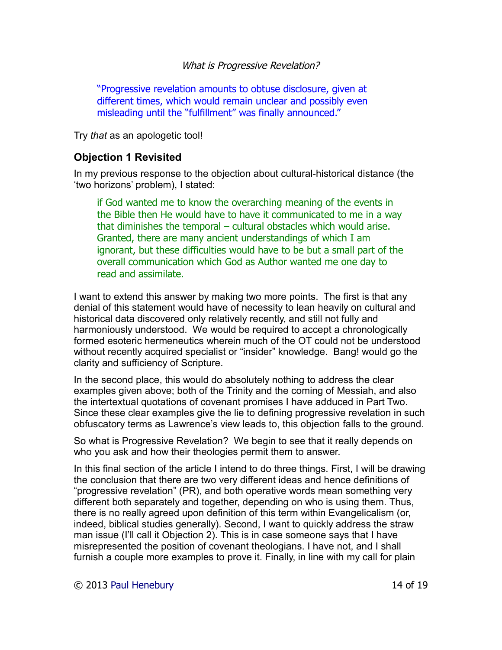"Progressive revelation amounts to obtuse disclosure, given at different times, which would remain unclear and possibly even misleading until the "fulfillment" was finally announced."

Try *that* as an apologetic tool!

### **Objection 1 Revisited**

In my previous response to the objection about cultural-historical distance (the 'two horizons' problem), I stated:

if God wanted me to know the overarching meaning of the events in the Bible then He would have to have it communicated to me in a way that diminishes the temporal – cultural obstacles which would arise. Granted, there are many ancient understandings of which I am ignorant, but these difficulties would have to be but a small part of the overall communication which God as Author wanted me one day to read and assimilate.

I want to extend this answer by making two more points. The first is that any denial of this statement would have of necessity to lean heavily on cultural and historical data discovered only relatively recently, and still not fully and harmoniously understood. We would be required to accept a chronologically formed esoteric hermeneutics wherein much of the OT could not be understood without recently acquired specialist or "insider" knowledge. Bang! would go the clarity and sufficiency of Scripture.

In the second place, this would do absolutely nothing to address the clear examples given above; both of the Trinity and the coming of Messiah, and also the intertextual quotations of covenant promises I have adduced in Part Two. Since these clear examples give the lie to defining progressive revelation in such obfuscatory terms as Lawrence's view leads to, this objection falls to the ground.

So what is Progressive Revelation? We begin to see that it really depends on who you ask and how their theologies permit them to answer.

In this final section of the article I intend to do three things. First, I will be drawing the conclusion that there are two very different ideas and hence definitions of "progressive revelation" (PR), and both operative words mean something very different both separately and together, depending on who is using them. Thus, there is no really agreed upon definition of this term within Evangelicalism (or, indeed, biblical studies generally). Second, I want to quickly address the straw man issue (I'll call it Objection 2). This is in case someone says that I have misrepresented the position of covenant theologians. I have not, and I shall furnish a couple more examples to prove it. Finally, in line with my call for plain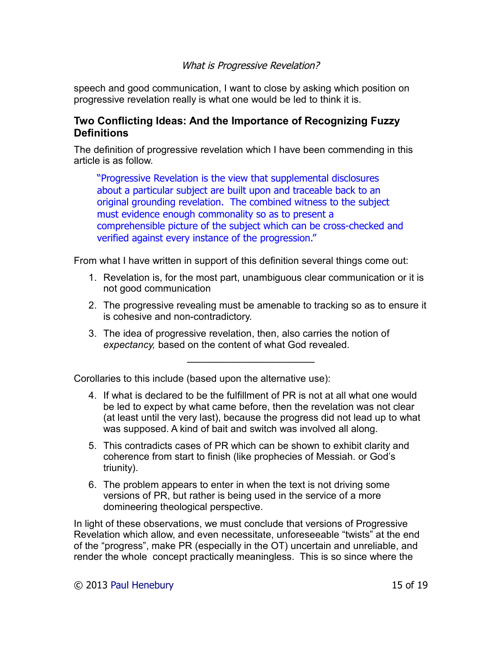speech and good communication, I want to close by asking which position on progressive revelation really is what one would be led to think it is.

# **Two Conflicting Ideas: And the Importance of Recognizing Fuzzy Definitions**

The definition of progressive revelation which I have been commending in this article is as follow.

"Progressive Revelation is the view that supplemental disclosures about a particular subject are built upon and traceable back to an original grounding revelation. The combined witness to the subject must evidence enough commonality so as to present a comprehensible picture of the subject which can be cross-checked and verified against every instance of the progression."

From what I have written in support of this definition several things come out:

- 1. Revelation is, for the most part, unambiguous clear communication or it is not good communication
- 2. The progressive revealing must be amenable to tracking so as to ensure it is cohesive and non-contradictory.
- 3. The idea of progressive revelation, then, also carries the notion of *expectancy,* based on the content of what God revealed.

—————————————

Corollaries to this include (based upon the alternative use):

- 4. If what is declared to be the fulfillment of PR is not at all what one would be led to expect by what came before, then the revelation was not clear (at least until the very last), because the progress did not lead up to what was supposed. A kind of bait and switch was involved all along.
- 5. This contradicts cases of PR which can be shown to exhibit clarity and coherence from start to finish (like prophecies of Messiah. or God's triunity).
- 6. The problem appears to enter in when the text is not driving some versions of PR, but rather is being used in the service of a more domineering theological perspective.

In light of these observations, we must conclude that versions of Progressive Revelation which allow, and even necessitate, unforeseeable "twists" at the end of the "progress", make PR (especially in the OT) uncertain and unreliable, and render the whole concept practically meaningless. This is so since where the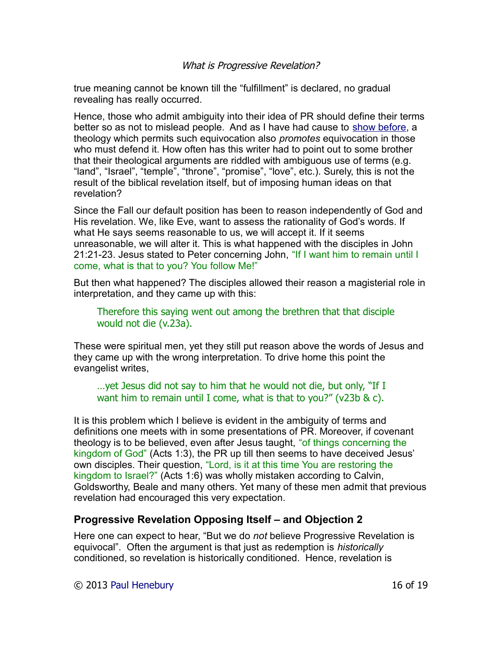true meaning cannot be known till the "fulfillment" is declared, no gradual revealing has really occurred.

Hence, those who admit ambiguity into their idea of PR should define their terms better so as not to mislead people. And as I have had cause to [show before,](http://drreluctant.wordpress.com/2012/04/03/rules-of-affinity/) a theology which permits such equivocation also *promotes* equivocation in those who must defend it. How often has this writer had to point out to some brother that their theological arguments are riddled with ambiguous use of terms (e.g. "land", "Israel", "temple", "throne", "promise", "love", etc.). Surely, this is not the result of the biblical revelation itself, but of imposing human ideas on that revelation?

Since the Fall our default position has been to reason independently of God and His revelation. We, like Eve, want to assess the rationality of God's words. If what He says seems reasonable to us, we will accept it. If it seems unreasonable, we will alter it. This is what happened with the disciples in John 21:21-23. Jesus stated to Peter concerning John, "If I want him to remain until I come, what is that to you? You follow Me!"

But then what happened? The disciples allowed their reason a magisterial role in interpretation, and they came up with this:

Therefore this saying went out among the brethren that that disciple would not die (v.23a).

These were spiritual men, yet they still put reason above the words of Jesus and they came up with the wrong interpretation. To drive home this point the evangelist writes,

…yet Jesus did not say to him that he would not die, but only, "If I want him to remain until I come, what is that to you?" (v23b & c).

It is this problem which I believe is evident in the ambiguity of terms and definitions one meets with in some presentations of PR. Moreover, if covenant theology is to be believed, even after Jesus taught, "of things concerning the kingdom of God" (Acts 1:3), the PR up till then seems to have deceived Jesus' own disciples. Their question, "Lord, is it at this time You are restoring the kingdom to Israel?" (Acts 1:6) was wholly mistaken according to Calvin, Goldsworthy, Beale and many others. Yet many of these men admit that previous revelation had encouraged this very expectation.

# **Progressive Revelation Opposing Itself – and Objection 2**

Here one can expect to hear, "But we do *not* believe Progressive Revelation is equivocal". Often the argument is that just as redemption is *historically* conditioned, so revelation is historically conditioned. Hence, revelation is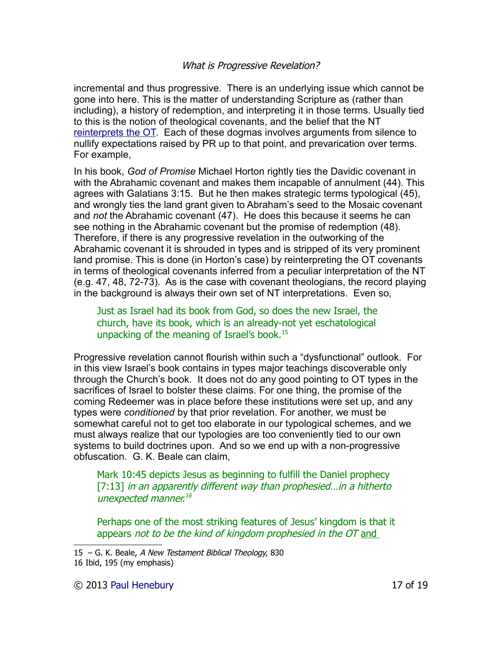incremental and thus progressive. There is an underlying issue which cannot be gone into here. This is the matter of understanding Scripture as (rather than including), a history of redemption, and interpreting it in those terms. Usually tied to this is the notion of theological covenants, and the belief that the NT [reinterprets the OT.](http://theologicalstudies.org/files/resources/Hermeneutic_of_Reinterpretation.pdf) Each of these dogmas involves arguments from silence to nullify expectations raised by PR up to that point, and prevarication over terms. For example,

In his book, *God of Promise* Michael Horton rightly ties the Davidic covenant in with the Abrahamic covenant and makes them incapable of annulment (44). This agrees with Galatians 3:15. But he then makes strategic terms typological (45), and wrongly ties the land grant given to Abraham's seed to the Mosaic covenant and *not* the Abrahamic covenant (47). He does this because it seems he can see nothing in the Abrahamic covenant but the promise of redemption (48). Therefore, if there is any progressive revelation in the outworking of the Abrahamic covenant it is shrouded in types and is stripped of its very prominent land promise. This is done (in Horton's case) by reinterpreting the OT covenants in terms of theological covenants inferred from a peculiar interpretation of the NT (e.g. 47, 48, 72-73). As is the case with covenant theologians, the record playing in the background is always their own set of NT interpretations. Even so,

Just as Israel had its book from God, so does the new Israel, the church, have its book, which is an already-not yet eschatological unpacking of the meaning of Israel's book.<sup>[15](#page-16-0)</sup>

Progressive revelation cannot flourish within such a "dysfunctional" outlook. For in this view Israel's book contains in types major teachings discoverable only through the Church's book. It does not do any good pointing to OT types in the sacrifices of Israel to bolster these claims. For one thing, the promise of the coming Redeemer was in place before these institutions were set up, and any types were *conditioned* by that prior revelation. For another, we must be somewhat careful not to get too elaborate in our typological schemes, and we must always realize that our typologies are too conveniently tied to our own systems to build doctrines upon. And so we end up with a non-progressive obfuscation. G. K. Beale can claim,

Mark 10:45 depicts Jesus as beginning to fulfill the Daniel prophecy [7:13] in an apparently different way than prophesied...in a hitherto unexpected manner.<sup>[16](#page-16-1)</sup>

Perhaps one of the most striking features of Jesus' kingdom is that it appears not to be the kind of kingdom prophesied in the OT and

© 2013 [Paul Henebury](http://www.spiritandtruth.org/id/ph.htm) 17 of 19

<span id="page-16-0"></span><sup>15 –</sup> G. K. Beale, A New Testament Biblical Theology, 830

<span id="page-16-1"></span><sup>16</sup> Ibid, 195 (my emphasis)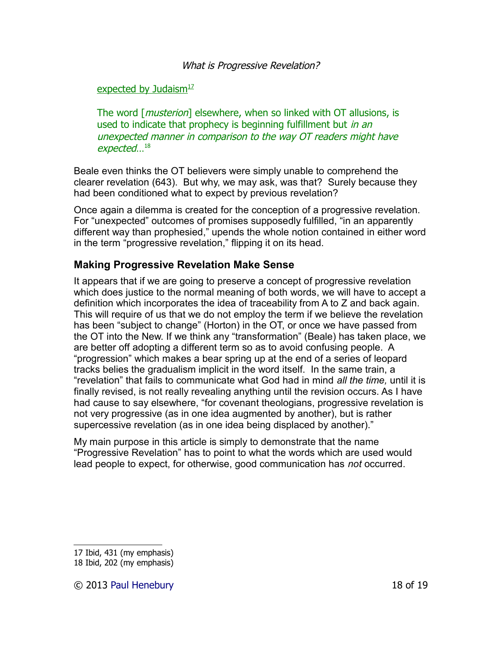### expected by Judaism $17$

The word [*musterion*] elsewhere, when so linked with OT allusions, is used to indicate that prophecy is beginning fulfillment but in an unexpected manner in comparison to the way OT readers might have expected… [18](#page-17-1)

Beale even thinks the OT believers were simply unable to comprehend the clearer revelation (643). But why, we may ask, was that? Surely because they had been conditioned what to expect by previous revelation?

Once again a dilemma is created for the conception of a progressive revelation. For "unexpected" outcomes of promises supposedly fulfilled, "in an apparently different way than prophesied," upends the whole notion contained in either word in the term "progressive revelation," flipping it on its head.

# **Making Progressive Revelation Make Sense**

It appears that if we are going to preserve a concept of progressive revelation which does justice to the normal meaning of both words, we will have to accept a definition which incorporates the idea of traceability from A to Z and back again. This will require of us that we do not employ the term if we believe the revelation has been "subject to change" (Horton) in the OT, or once we have passed from the OT into the New. If we think any "transformation" (Beale) has taken place, we are better off adopting a different term so as to avoid confusing people. A "progression" which makes a bear spring up at the end of a series of leopard tracks belies the gradualism implicit in the word itself. In the same train, a "revelation" that fails to communicate what God had in mind *all the time,* until it is finally revised, is not really revealing anything until the revision occurs. As I have had cause to say elsewhere, "for covenant theologians, progressive revelation is not very progressive (as in one idea augmented by another), but is rather supercessive revelation (as in one idea being displaced by another)."

My main purpose in this article is simply to demonstrate that the name "Progressive Revelation" has to point to what the words which are used would lead people to expect, for otherwise, good communication has *not* occurred.

<span id="page-17-0"></span><sup>17</sup> Ibid, 431 (my emphasis)

<span id="page-17-1"></span><sup>18</sup> Ibid, 202 (my emphasis)

<sup>© 2013</sup> [Paul Henebury](http://www.spiritandtruth.org/id/ph.htm) 18 of 19